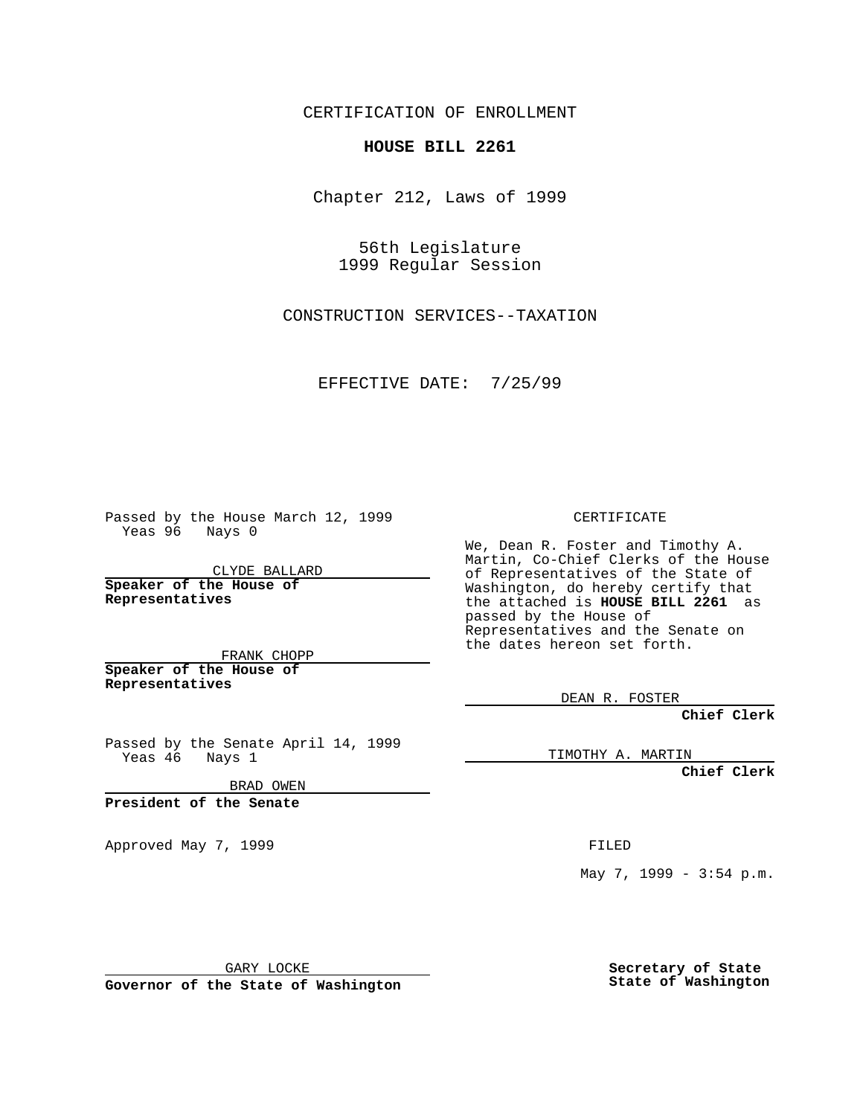CERTIFICATION OF ENROLLMENT

## **HOUSE BILL 2261**

Chapter 212, Laws of 1999

56th Legislature 1999 Regular Session

CONSTRUCTION SERVICES--TAXATION

EFFECTIVE DATE: 7/25/99

Passed by the House March 12, 1999 Yeas 96 Nays 0

CLYDE BALLARD **Speaker of the House of Representatives**

FRANK CHOPP **Speaker of the House of Representatives**

Passed by the Senate April 14, 1999<br>Yeas 46 Nays 1 Nays 1

BRAD OWEN

**President of the Senate**

Approved May 7, 1999 **FILED** 

CERTIFICATE

We, Dean R. Foster and Timothy A. Martin, Co-Chief Clerks of the House of Representatives of the State of Washington, do hereby certify that the attached is **HOUSE BILL 2261** as passed by the House of Representatives and the Senate on the dates hereon set forth.

DEAN R. FOSTER

**Chief Clerk**

TIMOTHY A. MARTIN

**Chief Clerk**

May 7, 1999 - 3:54 p.m.

GARY LOCKE

**Governor of the State of Washington**

**Secretary of State State of Washington**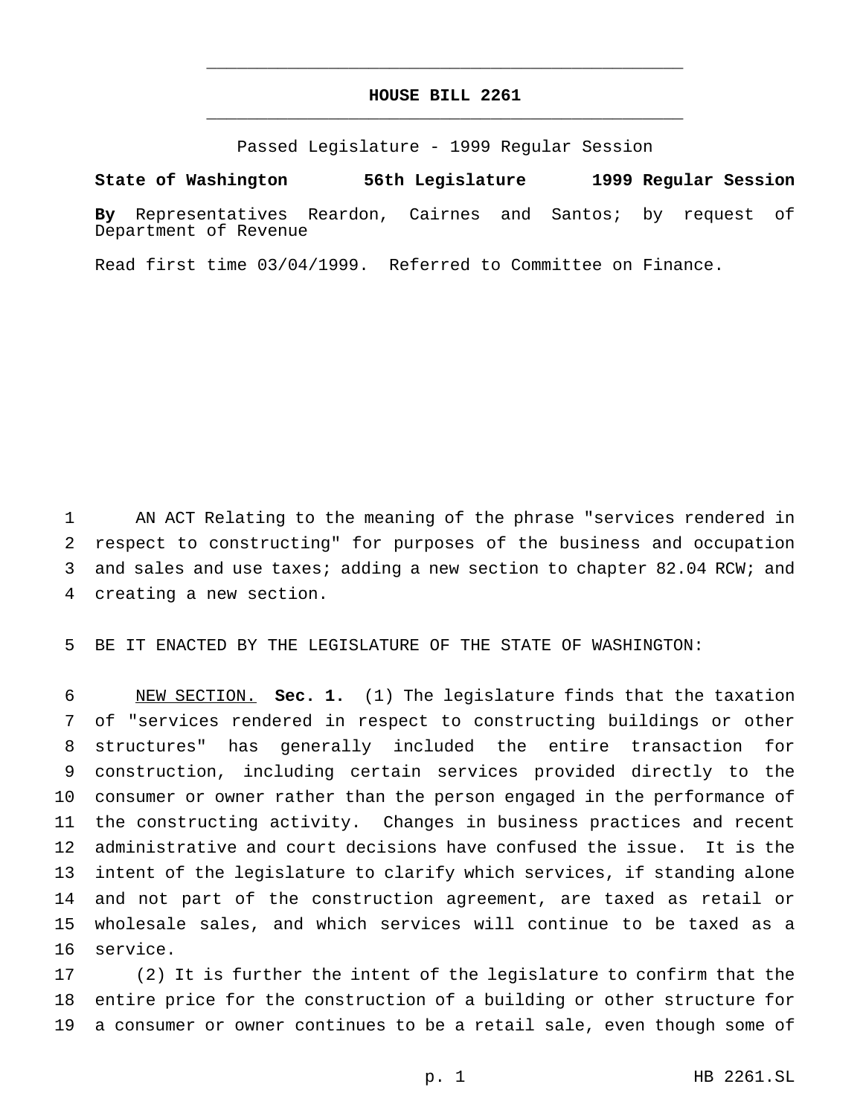## **HOUSE BILL 2261** \_\_\_\_\_\_\_\_\_\_\_\_\_\_\_\_\_\_\_\_\_\_\_\_\_\_\_\_\_\_\_\_\_\_\_\_\_\_\_\_\_\_\_\_\_\_\_

\_\_\_\_\_\_\_\_\_\_\_\_\_\_\_\_\_\_\_\_\_\_\_\_\_\_\_\_\_\_\_\_\_\_\_\_\_\_\_\_\_\_\_\_\_\_\_

Passed Legislature - 1999 Regular Session

**State of Washington 56th Legislature 1999 Regular Session**

**By** Representatives Reardon, Cairnes and Santos; by request of Department of Revenue

Read first time 03/04/1999. Referred to Committee on Finance.

 AN ACT Relating to the meaning of the phrase "services rendered in respect to constructing" for purposes of the business and occupation and sales and use taxes; adding a new section to chapter 82.04 RCW; and creating a new section.

BE IT ENACTED BY THE LEGISLATURE OF THE STATE OF WASHINGTON:

 NEW SECTION. **Sec. 1.** (1) The legislature finds that the taxation of "services rendered in respect to constructing buildings or other structures" has generally included the entire transaction for construction, including certain services provided directly to the consumer or owner rather than the person engaged in the performance of the constructing activity. Changes in business practices and recent administrative and court decisions have confused the issue. It is the intent of the legislature to clarify which services, if standing alone and not part of the construction agreement, are taxed as retail or wholesale sales, and which services will continue to be taxed as a service.

 (2) It is further the intent of the legislature to confirm that the entire price for the construction of a building or other structure for a consumer or owner continues to be a retail sale, even though some of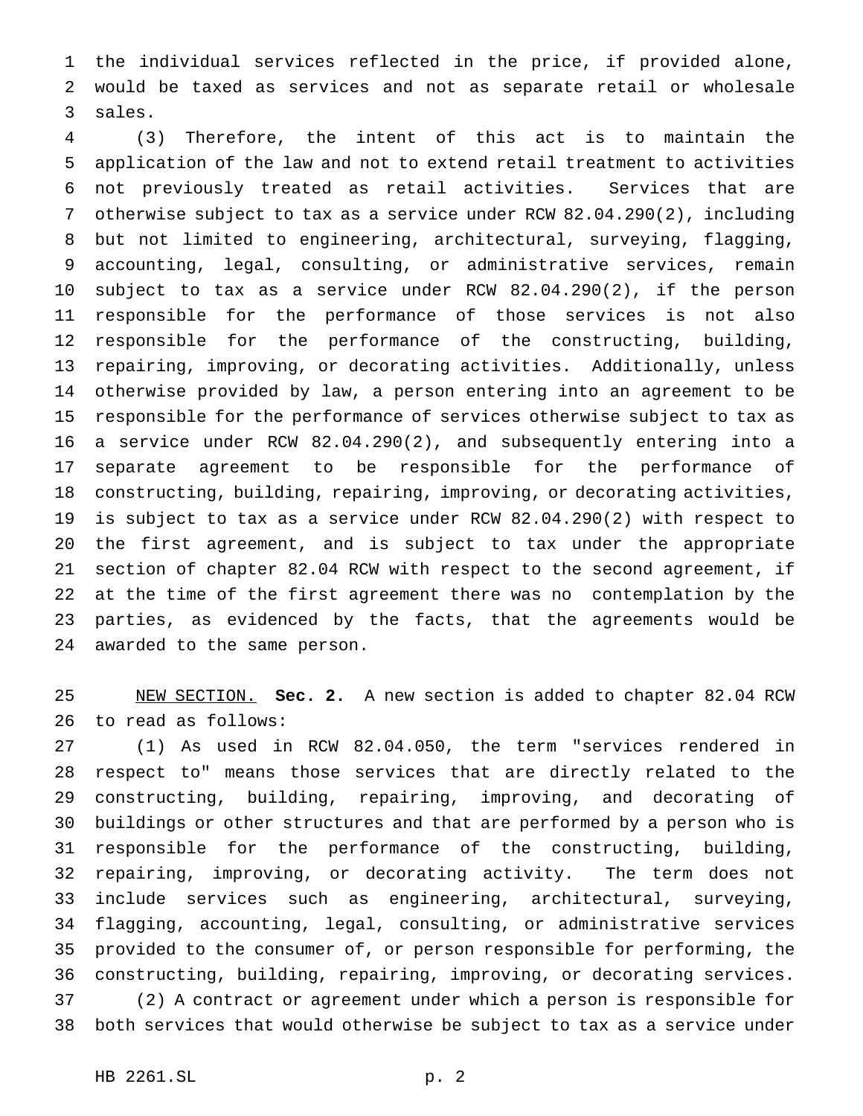the individual services reflected in the price, if provided alone, would be taxed as services and not as separate retail or wholesale sales.

 (3) Therefore, the intent of this act is to maintain the application of the law and not to extend retail treatment to activities not previously treated as retail activities. Services that are otherwise subject to tax as a service under RCW 82.04.290(2), including but not limited to engineering, architectural, surveying, flagging, accounting, legal, consulting, or administrative services, remain subject to tax as a service under RCW 82.04.290(2), if the person responsible for the performance of those services is not also responsible for the performance of the constructing, building, repairing, improving, or decorating activities. Additionally, unless otherwise provided by law, a person entering into an agreement to be responsible for the performance of services otherwise subject to tax as a service under RCW 82.04.290(2), and subsequently entering into a separate agreement to be responsible for the performance of constructing, building, repairing, improving, or decorating activities, is subject to tax as a service under RCW 82.04.290(2) with respect to the first agreement, and is subject to tax under the appropriate section of chapter 82.04 RCW with respect to the second agreement, if at the time of the first agreement there was no contemplation by the parties, as evidenced by the facts, that the agreements would be awarded to the same person.

 NEW SECTION. **Sec. 2.** A new section is added to chapter 82.04 RCW to read as follows:

 (1) As used in RCW 82.04.050, the term "services rendered in respect to" means those services that are directly related to the constructing, building, repairing, improving, and decorating of buildings or other structures and that are performed by a person who is responsible for the performance of the constructing, building, repairing, improving, or decorating activity. The term does not include services such as engineering, architectural, surveying, flagging, accounting, legal, consulting, or administrative services provided to the consumer of, or person responsible for performing, the constructing, building, repairing, improving, or decorating services. (2) A contract or agreement under which a person is responsible for both services that would otherwise be subject to tax as a service under